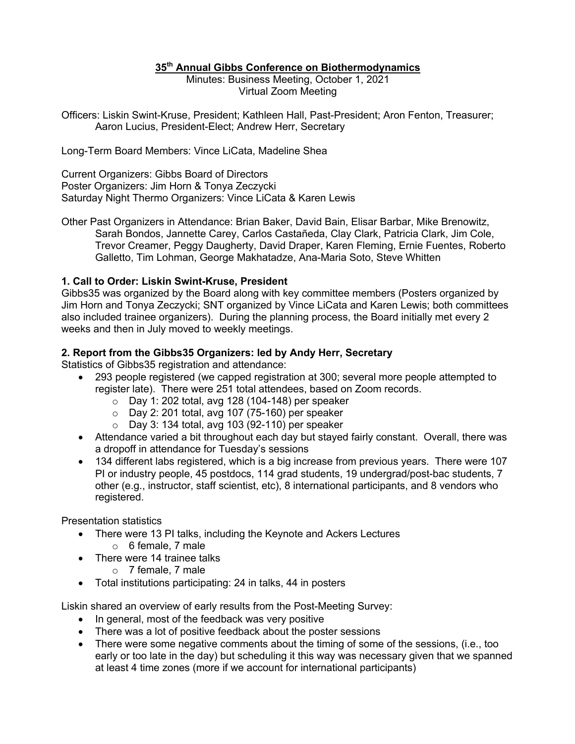## **35th Annual Gibbs Conference on Biothermodynamics**

Minutes: Business Meeting, October 1, 2021 Virtual Zoom Meeting

Officers: Liskin Swint-Kruse, President; Kathleen Hall, Past-President; Aron Fenton, Treasurer; Aaron Lucius, President-Elect; Andrew Herr, Secretary

Long-Term Board Members: Vince LiCata, Madeline Shea

Current Organizers: Gibbs Board of Directors Poster Organizers: Jim Horn & Tonya Zeczycki Saturday Night Thermo Organizers: Vince LiCata & Karen Lewis

Other Past Organizers in Attendance: Brian Baker, David Bain, Elisar Barbar, Mike Brenowitz, Sarah Bondos, Jannette Carey, Carlos Castañeda, Clay Clark, Patricia Clark, Jim Cole, Trevor Creamer, Peggy Daugherty, David Draper, Karen Fleming, Ernie Fuentes, Roberto Galletto, Tim Lohman, George Makhatadze, Ana-Maria Soto, Steve Whitten

## **1. Call to Order: Liskin Swint-Kruse, President**

Gibbs35 was organized by the Board along with key committee members (Posters organized by Jim Horn and Tonya Zeczycki; SNT organized by Vince LiCata and Karen Lewis; both committees also included trainee organizers). During the planning process, the Board initially met every 2 weeks and then in July moved to weekly meetings.

## **2. Report from the Gibbs35 Organizers: led by Andy Herr, Secretary**

Statistics of Gibbs35 registration and attendance:

- 293 people registered (we capped registration at 300; several more people attempted to register late). There were 251 total attendees, based on Zoom records.
	- $\circ$  Day 1: 202 total, avg 128 (104-148) per speaker
	- $\circ$  Day 2: 201 total, avg 107 (75-160) per speaker
	- $\circ$  Day 3: 134 total, avg 103 (92-110) per speaker
- Attendance varied a bit throughout each day but stayed fairly constant. Overall, there was a dropoff in attendance for Tuesday's sessions
- 134 different labs registered, which is a big increase from previous years. There were 107 PI or industry people, 45 postdocs, 114 grad students, 19 undergrad/post-bac students, 7 other (e.g., instructor, staff scientist, etc), 8 international participants, and 8 vendors who registered.

Presentation statistics

- There were 13 PI talks, including the Keynote and Ackers Lectures
	- o 6 female, 7 male
- There were 14 trainee talks
	- o 7 female, 7 male
- Total institutions participating: 24 in talks, 44 in posters

Liskin shared an overview of early results from the Post-Meeting Survey:

- In general, most of the feedback was very positive
- There was a lot of positive feedback about the poster sessions
- There were some negative comments about the timing of some of the sessions, (i.e., too early or too late in the day) but scheduling it this way was necessary given that we spanned at least 4 time zones (more if we account for international participants)